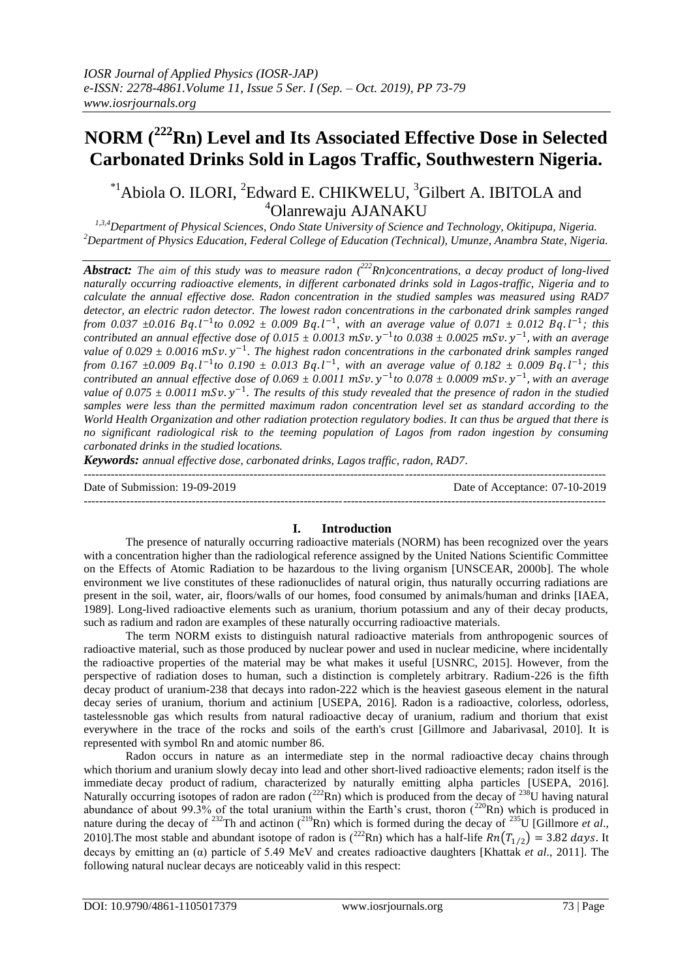# **NORM (<sup>222</sup>Rn) Level and Its Associated Effective Dose in Selected Carbonated Drinks Sold in Lagos Traffic, Southwestern Nigeria.**

# $^{*1}$ Abiola O. ILORI, <sup>2</sup>Edward E. CHIKWELU, <sup>3</sup>Gilbert A. IBITOLA and <sup>4</sup>Olanrewaju AJANAKU

*1,3,4Department of Physical Sciences, Ondo State University of Science and Technology, Okitipupa, Nigeria. <sup>2</sup>Department of Physics Education, Federal College of Education (Technical), Umunze, Anambra State, Nigeria.*

Abstract: The aim of this study was to measure radon (<sup>222</sup>Rn)concentrations, a decay product of long-lived *naturally occurring radioactive elements, in different carbonated drinks sold in Lagos-traffic, Nigeria and to calculate the annual effective dose. Radon concentration in the studied samples was measured using RAD7 detector, an electric radon detector. The lowest radon concentrations in the carbonated drink samples ranged from* 0.037  $\pm$ 0.016 Bq.l<sup>-1</sup>to 0.092  $\pm$  0.009 Bq.l<sup>-1</sup>, with an average value of 0.071  $\pm$  0.012 Bq.l<sup>-1</sup>; this *contributed an annual effective dose of 0.015*  $\pm$  0.0013 mSv.  $y^{-1}$ to 0.038  $\pm$  0.0025 mSv.  $y^{-1}$ , with an average value of 0.029  $\pm$  0.0016 mSv. y<sup>-1</sup>. The highest radon concentrations in the carbonated drink samples ranged *from* 0.167  $\pm$ 0.009 Bq.l<sup>-1</sup>to 0.190  $\pm$  0.013 Bq.l<sup>-1</sup>, with an average value of 0.182  $\pm$  0.009 Bq.l<sup>-1</sup>; this *contributed an annual effective dose of*  $0.069 \pm 0.0011$  mSv.  $y^{-1}$ to  $0.078 \pm 0.0009$  mSv.  $y^{-1}$ , with an average value of  $0.075 \pm 0.0011$  mSv.  $y^{-1}$ . The results of this study revealed that the presence of radon in the studied *samples were less than the permitted maximum radon concentration level set as standard according to the World Health Organization and other radiation protection regulatory bodies. It can thus be argued that there is no significant radiological risk to the teeming population of Lagos from radon ingestion by consuming carbonated drinks in the studied locations.* 

*Keywords: annual effective dose, carbonated drinks, Lagos traffic, radon, RAD7.*

| Date of Submission: 19-09-2019 | Date of Acceptance: 07-10-2019 |
|--------------------------------|--------------------------------|
|                                |                                |

## **I. Introduction**

The presence of naturally occurring radioactive materials (NORM) has been recognized over the years with a concentration higher than the radiological reference assigned by the United Nations Scientific Committee on the Effects of Atomic Radiation to be hazardous to the living organism [UNSCEAR, 2000b]. The whole environment we live constitutes of these radionuclides of natural origin, thus naturally occurring radiations are present in the soil, water, air, floors/walls of our homes, food consumed by animals/human and drinks [IAEA, 1989]. Long-lived radioactive elements such as uranium, thorium potassium and any of their decay products, such as radium and radon are examples of these naturally occurring radioactive materials.

The term NORM exists to distinguish natural radioactive materials from anthropogenic sources of radioactive material, such as those produced by nuclear power and used in nuclear medicine, where incidentally the radioactive properties of the material may be what makes it useful [USNRC, 2015]. However, from the perspective of radiation doses to human, such a distinction is completely arbitrary. Radium-226 is the fifth decay product of uranium-238 that decays into radon-222 which is the heaviest gaseous element in the natural decay series of uranium, thorium and actinium [USEPA, 2016]. Radon is a [radioactive,](https://en.wikipedia.org/wiki/Radioactive_decay) colorless, odorless, tasteles[snoble gas](https://en.wikipedia.org/wiki/Noble_gas) which results from natural radioactive decay of uranium, radium and thorium that exist everywhere in the trace of the rocks and soils of the earth's crust [Gillmore and Jabarivasal, 2010]. It is represented with symbol Rn and atomic number 86.

Radon occurs in nature as an intermediate step in the normal radioactive [decay chains](https://en.wikipedia.org/wiki/Decay_chain) through which [thorium](https://en.wikipedia.org/wiki/Thorium) and [uranium](https://en.wikipedia.org/wiki/Uranium) slowly decay into [lead](https://en.wikipedia.org/wiki/Lead) and other short-lived radioactive elements; radon itself is the immediate [decay product](https://en.wikipedia.org/wiki/Decay_product) of [radium,](https://en.wikipedia.org/wiki/Radium) characterized by naturally emitting alpha particles [USEPA, 2016]. Naturally occurring isotopes of radon are radon  $(^{222}Rn)$  which is produced from the decay of  $^{238}U$  having natural abundance of about 99.3% of the total uranium within the Earth's crust, thoron  $(^{220}Rn)$  which is produced in nature during the decay of <sup>232</sup>Th and actinon (<sup>219</sup>Rn) which is formed during the decay of <sup>235</sup>U [Gillmore *et al.*, 2010]. The most stable and abundant isotope of radon is  $\binom{222}{1}$ Rn) which has a half-life  $Rn(T_{1/2}) = 3.82$  days. It decays by emitting an (α) particle of 5.49 MeV and creates radioactive daughters [Khattak *et al*., 2011]. The following natural nuclear decays are noticeably valid in this respect: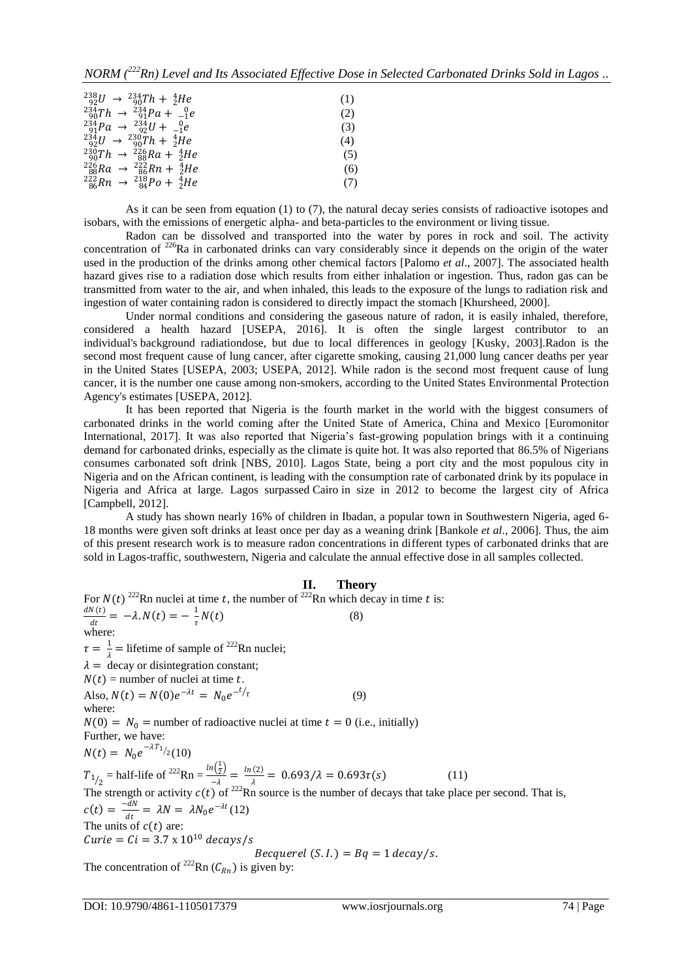*NORM (<sup>222</sup>Rn) Level and Its Associated Effective Dose in Selected Carbonated Drinks Sold in Lagos ..*

| $^{238}_{92}U \rightarrow ^{234}_{90}Th + ^{4}_{2}He$  | (1) |
|--------------------------------------------------------|-----|
| $^{234}_{90}Th \rightarrow ^{234}_{91}Pa + ^{0}_{-1}e$ | (2) |
| $^{234}_{91}Pa \rightarrow ^{234}_{92}U + ^{0}_{-1}e$  | (3) |
| $^{234}_{92}U \rightarrow ^{230}_{90}Th + ^{4}_{2}He$  | (4) |
| $^{230}_{90}Th \rightarrow ^{226}_{88}Ra + ^{4}_{2}He$ | (5) |
| $^{226}_{88}Ra \rightarrow ^{222}_{86}Rn + ^{4}_{2}He$ | (6) |
| $^{222}_{86}Rn \rightarrow ^{218}_{84}Po + ^{4}_{2}He$ | (7) |

As it can be seen from equation (1) to (7), the natural decay series consists of radioactive isotopes and isobars, with the emissions of energetic alpha- and beta-particles to the environment or living tissue.

Radon can be dissolved and transported into the water by pores in rock and soil. The activity concentration of <sup>226</sup>Ra in carbonated drinks can vary considerably since it depends on the origin of the water used in the production of the drinks among other chemical factors [Palomo *et al*., 2007]. The associated health hazard gives rise to a radiation dose which results from either inhalation or ingestion. Thus, radon gas can be transmitted from water to the air, and when inhaled, this leads to the exposure of the lungs to radiation risk and ingestion of water containing radon is considered to directly impact the stomach [Khursheed, 2000].

Under normal conditions and considering the gaseous nature of radon, it is easily inhaled, therefore, considered a health hazard [USEPA, 2016]. It is often the single largest contributor to an individual's [background radiationd](https://en.wikipedia.org/wiki/Background_radiation)ose, but due to local differences in geology [Kusky, 2003].Radon is the second most frequent cause of lung cancer, after cigarette smoking, causing 21,000 lung cancer deaths per year in the [United States](https://en.wikipedia.org/wiki/United_States) [USEPA, 2003; USEPA, 2012]. While radon is the second most frequent cause of lung cancer, it is the number one cause among non-smokers, according to the United States Environmental Protection Agency's estimates [USEPA, 2012].

It has been reported that Nigeria is the fourth market in the world with the biggest consumers of carbonated drinks in the world coming after the United State of America, China and Mexico [Euromonitor International, 2017]. It was also reported that Nigeria's fast-growing population brings with it a continuing demand for carbonated drinks, especially as the climate is quite hot. It was also reported that 86.5% of Nigerians consumes carbonated soft drink [NBS, 2010]. [Lagos](http://worldpopulationreview.com/world-cities/lagos-population/) State, being a port city and the most populous city in [Nigeria](http://worldpopulationreview.com/countries/nigeria-population/) and on the African continent, is leading with the consumption rate of carbonated drink by its populace in Nigeria and Africa at large. Lagos [surpassed](http://www.theatlantic.com/international/archive/2012/07/this-is-africas-new-biggest-city-lagos-nigeria-population-21-million/259611/) [Cairo](http://www.theatlantic.com/international/archive/2012/07/this-is-africas-new-biggest-city-lagos-nigeria-population-21-million/259611/) in size in 2012 to become the largest city of Africa [Campbell, 2012].

A study has shown nearly 16% of children in Ibadan, a popular town in Southwestern Nigeria, aged 6- 18 months were given soft drinks at least once per day as a weaning drink [Bankole *et al*., 2006]. Thus, the aim of this present research work is to measure radon concentrations in different types of carbonated drinks that are sold in Lagos-traffic, southwestern, Nigeria and calculate the annual effective dose in all samples collected.

#### **II. Theory**

For  $N(t)$ <sup>222</sup>Rn nuclei at time t, the number of <sup>222</sup>Rn which decay in time t is:  $dN(t)$  $\frac{N(t)}{dt} = -\lambda. N(t) = -\frac{1}{\tau}$  $\frac{1}{\tau}N(t)$  (8) where:  $\tau = \frac{1}{1}$  $\frac{1}{\lambda}$  = lifetime of sample of <sup>222</sup>Rn nuclei;  $\lambda =$  decay or disintegration constant;  $N(t)$  = number of nuclei at time t. Also,  $N(t) = N(0)e^{-\lambda t} = N_0 e^{-t/\tau}$  (9) where:  $N(0) = N_0$  = number of radioactive nuclei at time  $t = 0$  (i.e., initially) Further, we have:  $N(t) = N_0 e^{-\lambda T_1/2} (10)$  $T_{1/2}$  = half-life of <sup>222</sup>Rn =  $\frac{\ln(\frac{1}{2})}{-\lambda}$  $\frac{i(\overline{z})}{-\lambda} = \frac{\ln(2)}{\lambda}$  $\frac{(\xi)}{\lambda} = 0.693/\lambda = 0.693\tau(s)$  (11) The strength or activity  $c(t)$  of <sup>222</sup>Rn source is the number of decays that take place per second. That is,  $c(t) = \frac{-dN}{dt}$  $\frac{aN}{dt} = \lambda N = \lambda N_0 e^{-\lambda t}$  (12) The units of  $c(t)$  are: Curie =  $Ci = 3.7 \times 10^{10}$  decays/s Becquerel  $(S.I.) = Bq = 1$  decay/s.

The concentration of <sup>222</sup>Rn ( $C_{Rn}$ ) is given by: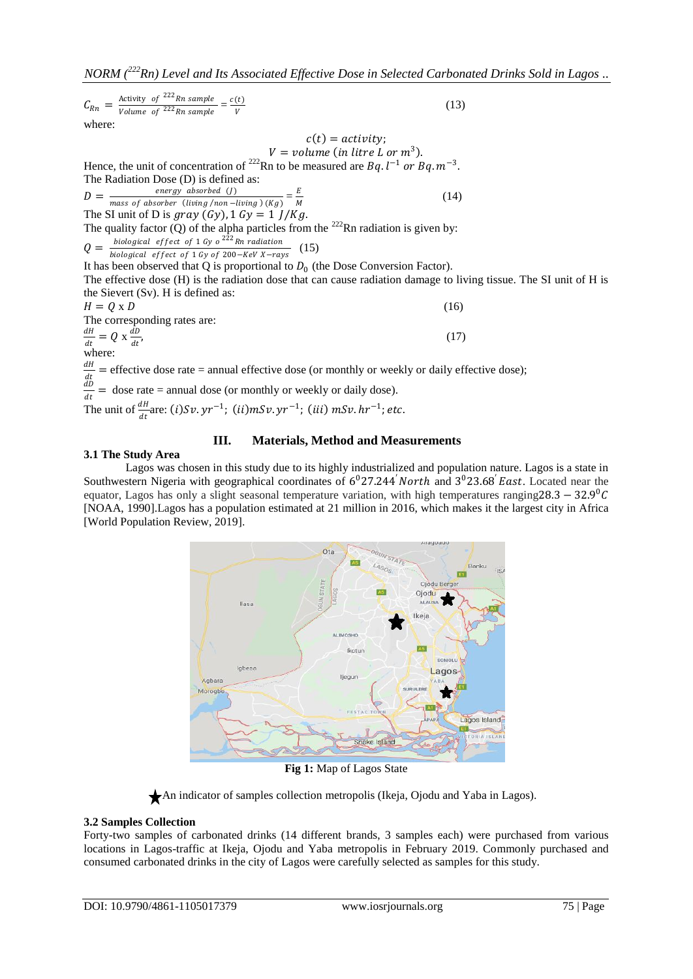$C_{Rn} =$ Activity of <sup>222</sup>Rn sample  $\frac{1}{\text{Volume of } 222 \text{ Rn sample}}$  =  $\boldsymbol{c}(t)$ V  $(13)$ where:  $c(t) = activity$ ;  $V = volume (in litre L or m<sup>3</sup>).$ Hence, the unit of concentration of <sup>222</sup>Rn to be measured are  $Bq$ .  $l^{-1}$  or  $Bq$ .  $m^{-3}$ . The Radiation Dose (D) is defined as:  $D=$ energy absorbed (J) <u>energy</u> absorbed  $(j)$ <br>mass of absorber (living /non −living)(Kg) =  $\frac{E}{M}$ M  $(14)$ The SI unit of D is gray  $(Gy)$ , 1  $Gy = 1$   $J/Kg$ . The quality factor  $\overline{Q}$  of the alpha particles from the <sup>222</sup>Rn radiation is given by:  $Q = \frac{\text{recograin (} c \cdot \text{or} c \cdot \text{or} c \cdot \text{or} c \cdot \text{or} c \cdot \text{or} c \cdot \text{or} c \cdot \text{or} c \cdot \text{or} c \cdot \text{or} c \cdot \text{or} c \cdot \text{or} c \cdot \text{or} c \cdot \text{or} c \cdot \text{or} c \cdot \text{or} c \cdot \text{or} c \cdot \text{or} c \cdot \text{or} c \cdot \text{or} c \cdot \text{or} c \cdot \text{or} c \cdot \text{or} c \cdot \text{or} c \cdot \text{or} c \cdot \text{or} c \cdot \text{or$ biological effect of 1 Gy o<sup>222</sup>Rn radiation (15) It has been observed that  $Q$  is proportional to  $D_0$  (the Dose Conversion Factor). The effective dose (H) is the radiation dose that can cause radiation damage to living tissue. The SI unit of H is the Sievert (Sv). H is defined as:  $H = 0 \times D$  (16) The corresponding rates are: dΗ  $\frac{dH}{dt} = Q \times \frac{dD}{dt}$  $dt$ ,  $(17)$ where:  $d{\cal H}$ 

dt<br>dD = effective dose rate = annual effective dose (or monthly or weekly or daily effective dose);  $\frac{dD}{dt}$  = dose rate = annual dose (or monthly or weekly or daily dose).

The unit of  $\frac{dH}{dt}$ are: (i)Sv.yr<sup>-1</sup>; (ii)mSv.yr<sup>-1</sup>; (iii) mSv.hr<sup>-1</sup>; etc.

## **III. Materials, Method and Measurements**

#### **3.1 The Study Area**

Lagos was chosen in this study due to its highly industrialized and population nature. Lagos is a state in Southwestern Nigeria with geographical coordinates of  $6^0$ 27.244 *North* and  $3^0$ 23.68 *East*. Located near the equator, Lagos has only a slight seasonal temperature variation, with high temperatures ranging28.3 – 32.9<sup>0</sup>C [NOAA, 1990].Lagos has a [population estimated at 21 million](http://www.theatlantic.com/international/archive/2012/07/this-is-africas-new-biggest-city-lagos-nigeria-population-21-million/259611/) in 2016, which makes it the largest city in [Africa](http://worldpopulationreview.com/continents/africa-population/) [World Population Review, 2019].



**Fig 1:** Map of Lagos State

An indicator of samples collection metropolis (Ikeja, Ojodu and Yaba in Lagos).

## **3.2 Samples Collection**

Forty-two samples of carbonated drinks (14 different brands, 3 samples each) were purchased from various locations in Lagos-traffic at Ikeja, Ojodu and Yaba metropolis in February 2019. Commonly purchased and consumed carbonated drinks in the city of Lagos were carefully selected as samples for this study.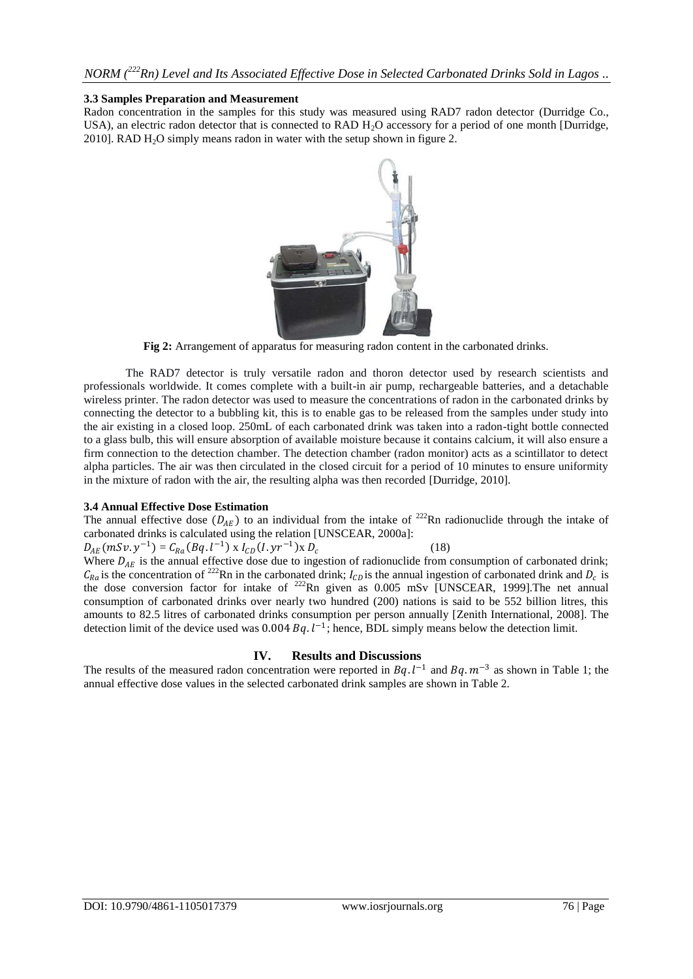#### **3.3 Samples Preparation and Measurement**

Radon concentration in the samples for this study was measured using RAD7 radon detector (Durridge Co., USA), an electric radon detector that is connected to RAD  $H_2O$  accessory for a period of one month [Durridge, 2010]. RAD  $H_2O$  simply means radon in water with the setup shown in figure 2.



**Fig 2:** Arrangement of apparatus for measuring radon content in the carbonated drinks.

The RAD7 detector is truly versatile radon and thoron detector used by research scientists and professionals worldwide. It comes complete with a built-in air pump, rechargeable batteries, and a detachable wireless printer. The radon detector was used to measure the concentrations of radon in the carbonated drinks by connecting the detector to a bubbling kit, this is to enable gas to be released from the samples under study into the air existing in a closed loop. 250mL of each carbonated drink was taken into a radon-tight bottle connected to a glass bulb, this will ensure absorption of available moisture because it contains calcium, it will also ensure a firm connection to the detection chamber. The detection chamber (radon monitor) acts as a scintillator to detect alpha particles. The air was then circulated in the closed circuit for a period of 10 minutes to ensure uniformity in the mixture of radon with the air, the resulting alpha was then recorded [Durridge, 2010].

## **3.4 Annual Effective Dose Estimation**

The annual effective dose  $(D_{AE})$  to an individual from the intake of <sup>222</sup>Rn radionuclide through the intake of carbonated drinks is calculated using the relation [UNSCEAR, 2000a]:

 $D_{AE}(mSv. y^{-1}) = C_{Ra}(Bq. l^{-1}) \times I_{CD}(I. yr^{-1}) \times D_c$  (18) Where  $D_{AE}$  is the annual effective dose due to ingestion of radionuclide from consumption of carbonated drink;  $C_{Ra}$  is the concentration of <sup>222</sup>Rn in the carbonated drink;  $I_{CD}$  is the annual ingestion of carbonated drink and  $D_c$  is the dose conversion factor for intake of <sup>222</sup>Rn given as 0.005 mSv [UNSCEAR, 1999]. The net annual consumption of carbonated drinks over nearly two hundred (200) nations is said to be 552 billion litres, this amounts to 82.5 litres of carbonated drinks consumption per person annually [Zenith International, 2008]. The detection limit of the device used was  $0.004 Bq$ .  $l^{-1}$ ; hence, BDL simply means below the detection limit.

## **IV. Results and Discussions**

The results of the measured radon concentration were reported in Bq.  $l^{-1}$  and Bq.  $m^{-3}$  as shown in Table 1; the annual effective dose values in the selected carbonated drink samples are shown in Table 2.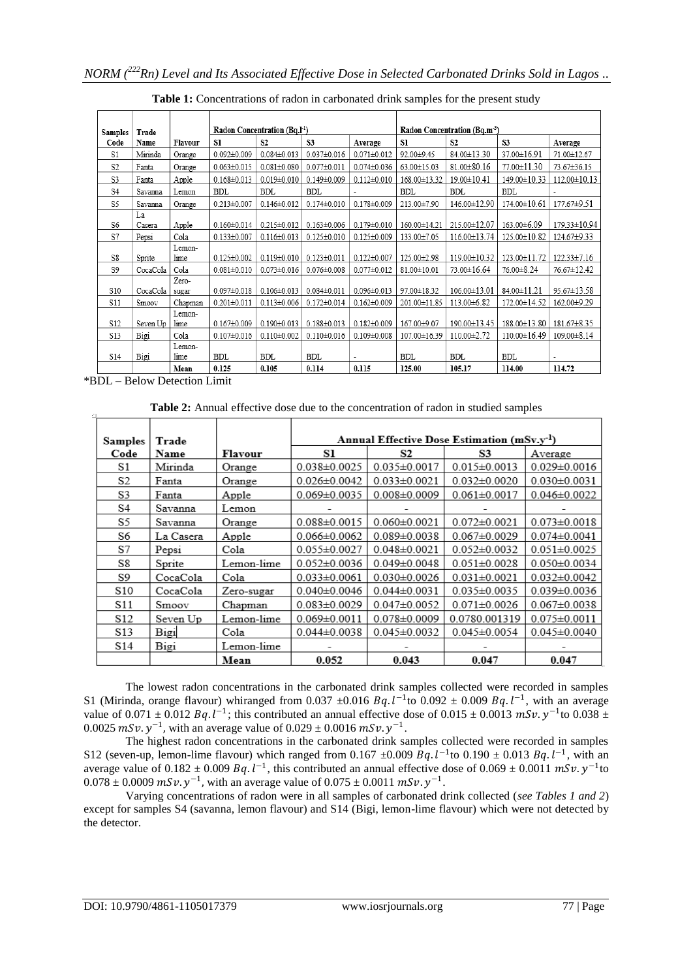| <b>Samples</b>  | Trade    |         | Radon Concentration (Bq.I <sup>-1</sup> ) |                   |                   | Radon Concentration (Bq.m <sup>-3</sup> ) |              |                |                |                   |
|-----------------|----------|---------|-------------------------------------------|-------------------|-------------------|-------------------------------------------|--------------|----------------|----------------|-------------------|
| Code            | Name     | Flavour | S1                                        | S <sub>2</sub>    | S3                | Average                                   | S1           | S <sub>2</sub> | S3             | Average           |
| S1              | Mirinda  | Orange  | $0.092 \pm 0.009$                         | $0.084 \pm 0.013$ | $0.037 \pm 0.016$ | $0.071 \pm 0.012$                         | 92.00±9.45   | 84.00±13.30    | 37.00±16.91    | 71.00±12.67       |
| S <sub>2</sub>  | Fanta    | Orange  | $0.063 \pm 0.015$                         | $0.081 \pm 0.080$ | $0.077 + 0.011$   | $0.074 \pm 0.036$                         | 63.00±15.03  | 81.00 ± 80.16  | 77.00 ± 11.30  | 73.67±36.15       |
| S3              | Fanta    | Apple   | $0.168 \pm 0.013$                         | $0.019 \pm 0.010$ | $0.149 \pm 0.009$ | $0.112 \pm 0.010$                         | 168.00±13.32 | 19.00±10.41    | 149.00±10.33   | 112.00 ± 10.13    |
| S4              | Savanna  | Lemon   | BDL                                       | BDL               | <b>BDL</b>        |                                           | BDL          | <b>BDL</b>     | <b>BDL</b>     |                   |
| S5              | Savanna  | Orange  | $0.213 \pm 0.007$                         | $0.146 \pm 0.012$ | $0.174 \pm 0.010$ | $0.178 + 0.009$                           | 213.00±7.90  | 146.00±12.90   | 174.00 ± 10.61 | 177.67±9.51       |
|                 | La       |         |                                           |                   |                   |                                           |              |                |                |                   |
| S6              | Casera   | Apple   | $0.160 \pm 0.014$                         | $0.215 \pm 0.012$ | $0.163 \pm 0.006$ | $0.179 \pm 0.010$                         | 160.00±14.21 | 215.00±12.07   | 163.00±6.09    | 179.33±10.94      |
| S7              | Pepsi    | Cola    | $0.133 \pm 0.007$                         | $0.116 \pm 0.013$ | $0.125 \pm 0.010$ | $0.125 \pm 0.009$                         | 133.00±7.05  | 116.00±13.74   | 125.00 ± 10.82 | 124.67±9.33       |
|                 |          | Lemon-  |                                           |                   |                   |                                           |              |                |                |                   |
| S8              | Sprite   | lime    | $0.125 \pm 0.002$                         | $0.119 \pm 0.010$ | $0.123 \pm 0.011$ | $0.122 \pm 0.007$                         | 125.00±2.98  | 119.00 ± 10.32 | 123.00 ± 11.72 | 122.33±7.16       |
| S9              | CocaCola | Cola    | $0.081 \pm 0.010$                         | $0.073 \pm 0.016$ | $0.076 \pm 0.008$ | $0.077 + 0.012$                           | 81.00±10.01  | 73.00±16.64    | 76.00 ± 8.24   | 76.67±12.42       |
|                 |          | Zero-   |                                           |                   |                   |                                           |              |                |                |                   |
| S10             | CocaCola | sugar   | $0.097 \pm 0.018$                         | $0.106 \pm 0.013$ | $0.084 \pm 0.011$ | $0.096 \pm 0.013$                         | 97.00±18.32  | 106.00±13.01   | 84.00±11.21    | 95.67±13.58       |
| S11             | Smoov    | Chapman | $0.201 \pm 0.011$                         | $0.113 \pm 0.006$ | $0.172 \pm 0.014$ | $0.162 \pm 0.009$                         | 201.00±11.85 | 113.00 ± 6.82  | 172.00 ± 14.52 | 162.00±9.29       |
|                 |          | Lemon-  |                                           |                   |                   |                                           |              |                |                |                   |
| S <sub>12</sub> | Seven Up | lime    | $0.167 \pm 0.009$                         | $0.190 \pm 0.013$ | $0.188 \pm 0.013$ | $0.182 \pm 0.009$                         | 167.00±9.07  | 190.00±13.45   | 188.00±13.80   | $181.67 \pm 8.35$ |
| S13             | Bigi     | Cola    | $0.107 \pm 0.016$                         | $0.110 \pm 0.002$ | $0.110 \pm 0.016$ | $0.109 \pm 0.008$                         | 107.00±16.39 | 110.00±2.72    | 110.00±16.49   | 109.00 ± 8.14     |
|                 |          | Lemon-  |                                           |                   |                   |                                           |              |                |                |                   |
| S14             | Bigi     | lime    | BDL                                       | <b>BDL</b>        | <b>BDL</b>        | ٠                                         | BDL          | <b>BDL</b>     | <b>BDL</b>     |                   |
|                 |          | Mean    | 0.125                                     | 0.105             | 0.114             | 0.115                                     | 125.00       | 105.17         | 114.00         | 114.72            |

Table 1: Concentrations of radon in carbonated drink samples for the present study

\*BDL – Below Detection Limit

**Table 2:** Annual effective dose due to the concentration of radon in studied samples

| Samples | Trade     |            | Annual Effective Dose Estimation (mSv.v <sup>-1</sup> ) |                    |                    |                    |  |  |
|---------|-----------|------------|---------------------------------------------------------|--------------------|--------------------|--------------------|--|--|
| Code    | Name      | Flavour    | Sl<br>S2<br>S3                                          |                    |                    | Average            |  |  |
| S1      | Mirinda   | Orange     | $0.038 \pm 0.0025$                                      | $0.035 \pm 0.0017$ | $0.015 \pm 0.0013$ | $0.029 \pm 0.0016$ |  |  |
| S2      | Fanta     | Orange     | $0.026 \pm 0.0042$                                      | $0.033 \pm 0.0021$ | $0.032 \pm 0.0020$ | $0.030 \pm 0.0031$ |  |  |
| S3      | Fanta     | Apple      | $0.069 \pm 0.0035$                                      | $0.008 \pm 0.0009$ | $0.061 \pm 0.0017$ | $0.046 \pm 0.0022$ |  |  |
| S4      | Savanna   | Lemon      |                                                         |                    |                    |                    |  |  |
| S5      | Savanna   | Orange     | $0.088 \pm 0.0015$                                      | $0.060 \pm 0.0021$ | $0.072 \pm 0.0021$ | $0.073 \pm 0.0018$ |  |  |
| S6      | La Casera | Apple      | $0.066 \pm 0.0062$                                      | $0.089 \pm 0.0038$ | $0.067 \pm 0.0029$ | $0.074 \pm 0.0041$ |  |  |
| S7      | Pepsi     | Cola       | $0.055 \pm 0.0027$                                      | $0.048 \pm 0.0021$ | $0.052 \pm 0.0032$ | $0.051 \pm 0.0025$ |  |  |
| S8      | Sprite    | Lemon-lime | $0.052 \pm 0.0036$                                      | $0.049 \pm 0.0048$ | $0.051 \pm 0.0028$ | $0.050 \pm 0.0034$ |  |  |
| S9      | CocaCola  | Cola       | $0.033 \pm 0.0061$                                      | $0.030 \pm 0.0026$ | $0.031 \pm 0.0021$ | $0.032 \pm 0.0042$ |  |  |
| S10     | CocaCola  | Zero-sugar | $0.040 \pm 0.0046$                                      | $0.044 \pm 0.0031$ | $0.035 \pm 0.0035$ | $0.039 \pm 0.0036$ |  |  |
| S11     | Smoov     | Chapman    | $0.083 \pm 0.0029$                                      | $0.047 \pm 0.0052$ | $0.071 \pm 0.0026$ | $0.067 \pm 0.0038$ |  |  |
| S12     | Seven Up  | Lemon-lime | $0.069 \pm 0.0011$                                      | $0.078 \pm 0.0009$ | 0.0780.001319      | $0.075 \pm 0.0011$ |  |  |
| S13     | Bigi      | Cola       | $0.044 \pm 0.0038$                                      | $0.045 \pm 0.0032$ | $0.045 \pm 0.0054$ | $0.045 \pm 0.0040$ |  |  |
| S14     | Bigi      | Lemon-lime |                                                         |                    |                    |                    |  |  |
|         |           | Mean       | 0.052                                                   | 0.043              | 0.047              | 0.047              |  |  |

The lowest radon concentrations in the carbonated drink samples collected were recorded in samples S1 (Mirinda, orange flavour) whiranged from 0.037  $\pm$ 0.016 Bq.  $l^{-1}$ to 0.092  $\pm$  0.009 Bq.  $l^{-1}$ , with an average value of 0.071  $\pm$  0.012 Bq. l<sup>-1</sup>; this contributed an annual effective dose of 0.015  $\pm$  0.0013 mSv. y<sup>-1</sup> to 0.038  $\pm$ 0.0025  $mSv. y^{-1}$ , with an average value of 0.029  $\pm$  0.0016  $mSv. y^{-1}$ .

The highest radon concentrations in the carbonated drink samples collected were recorded in samples S12 (seven-up, lemon-lime flavour) which ranged from 0.167  $\pm$ 0.009 Bq. l<sup>-1</sup> to 0.190  $\pm$  0.013 Bq. l<sup>-1</sup>, with an average value of  $0.182 \pm 0.009$  Bq.  $l^{-1}$ , this contributed an annual effective dose of  $0.069 \pm 0.0011$  mSv.  $y^{-1}$ to  $0.078 \pm 0.0009$  mSv.  $y^{-1}$ , with an average value of  $0.075 \pm 0.0011$  mSv.  $y^{-1}$ .

Varying concentrations of radon were in all samples of carbonated drink collected (*see Tables 1 and 2*) except for samples S4 (savanna, lemon flavour) and S14 (Bigi, lemon-lime flavour) which were not detected by the detector.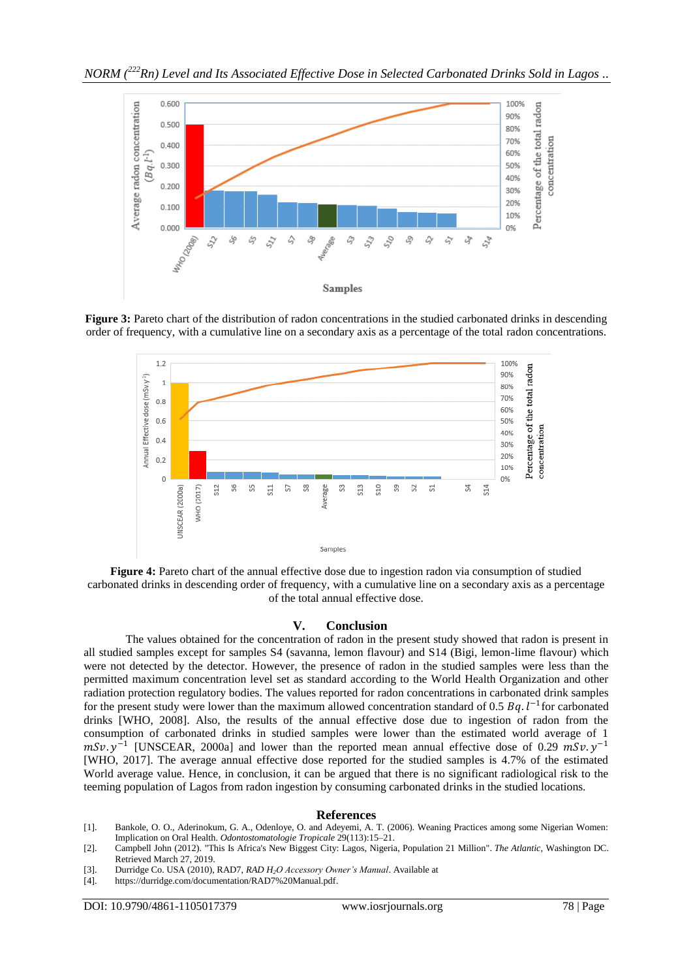

**Figure 3:** Pareto chart of the distribution of radon concentrations in the studied carbonated drinks in descending order of frequency, with a cumulative line on a secondary axis as a percentage of the total radon concentrations.



**Figure 4:** Pareto chart of the annual effective dose due to ingestion radon via consumption of studied carbonated drinks in descending order of frequency, with a cumulative line on a secondary axis as a percentage of the total annual effective dose.

#### **V. Conclusion**

The values obtained for the concentration of radon in the present study showed that radon is present in all studied samples except for samples S4 (savanna, lemon flavour) and S14 (Bigi, lemon-lime flavour) which were not detected by the detector. However, the presence of radon in the studied samples were less than the permitted maximum concentration level set as standard according to the World Health Organization and other radiation protection regulatory bodies. The values reported for radon concentrations in carbonated drink samples for the present study were lower than the maximum allowed concentration standard of 0.5  $Bq$ .  $l^{-1}$  for carbonated drinks [WHO, 2008]. Also, the results of the annual effective dose due to ingestion of radon from the consumption of carbonated drinks in studied samples were lower than the estimated world average of 1  $mSv. y^{-1}$  [UNSCEAR, 2000a] and lower than the reported mean annual effective dose of 0.29  $mSv. y^{-1}$ [WHO, 2017]. The average annual effective dose reported for the studied samples is 4.7% of the estimated World average value. Hence, in conclusion, it can be argued that there is no significant radiological risk to the teeming population of Lagos from radon ingestion by consuming carbonated drinks in the studied locations.

#### **References**

- [1]. Bankole, O. O., Aderinokum, G. A., Odenloye, O. and Adeyemi, A. T. (2006). Weaning Practices among some Nigerian Women: Implication on Oral Health. *Odontostomatologie Tropicale* 29(113):15–21.
- [2]. Campbell John (2012). ["This Is Africa's New Biggest City: Lagos, Nigeria, Population 21 Million".](https://www.theatlantic.com/international/archive/2012/07/this-is-africas-new-biggest-city-lagos-nigeria-population-25-million/259611/) *The Atlantic,* Washington DC. Retrieved March 27, 2019.
- [3]. Durridge Co. USA (2010), RAD7, *RAD H2O Accessory Owner's Manual*. Available at
- [4]. [https://durridge.com/documentation/RAD7%20Manual.pdf.](https://durridge.com/documentation/RAD7%20Manual.pdf)